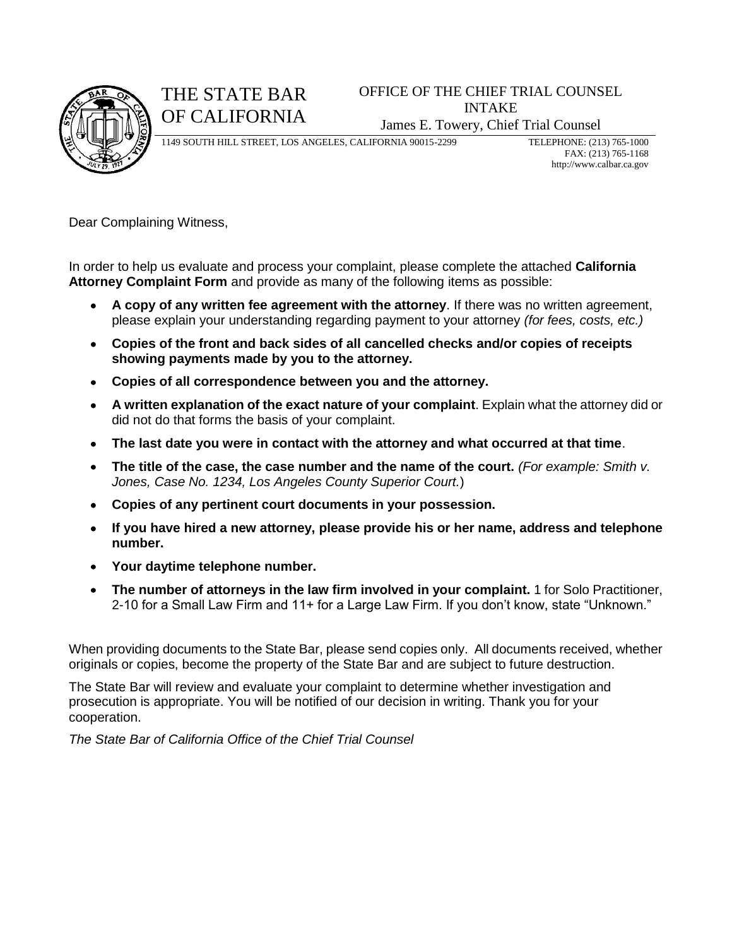

## THE STATE BAR OF CALIFORNIA

### OFFICE OF THE CHIEF TRIAL COUNSEL INTAKE James E. Towery, Chief Trial Counsel

1149 SOUTH HILL STREET, LOS ANGELES, CALIFORNIA 90015-2299 TELEPHONE: (213) 765-1000

FAX: (213) 765-1168 http://www.calbar.ca.gov

Dear Complaining Witness,

In order to help us evaluate and process your complaint, please complete the attached **California Attorney Complaint Form** and provide as many of the following items as possible:

- **A copy of any written fee agreement with the attorney**. If there was no written agreement, please explain your understanding regarding payment to your attorney *(for fees, costs, etc.)*
- **Copies of the front and back sides of all cancelled checks and/or copies of receipts showing payments made by you to the attorney.**
- **Copies of all correspondence between you and the attorney.**
- **A written explanation of the exact nature of your complaint**. Explain what the attorney did or did not do that forms the basis of your complaint.
- **The last date you were in contact with the attorney and what occurred at that time**.
- **The title of the case, the case number and the name of the court.** *(For example: Smith v. Jones, Case No. 1234, Los Angeles County Superior Court.*)
- **Copies of any pertinent court documents in your possession.**
- **If you have hired a new attorney, please provide his or her name, address and telephone number.**
- **Your daytime telephone number.**
- **The number of attorneys in the law firm involved in your complaint.** 1 for Solo Practitioner, 2-10 for a Small Law Firm and 11+ for a Large Law Firm. If you don't know, state "Unknown."

When providing documents to the State Bar, please send copies only. All documents received, whether originals or copies, become the property of the State Bar and are subject to future destruction.

The State Bar will review and evaluate your complaint to determine whether investigation and prosecution is appropriate. You will be notified of our decision in writing. Thank you for your cooperation.

*The State Bar of California Office of the Chief Trial Counsel*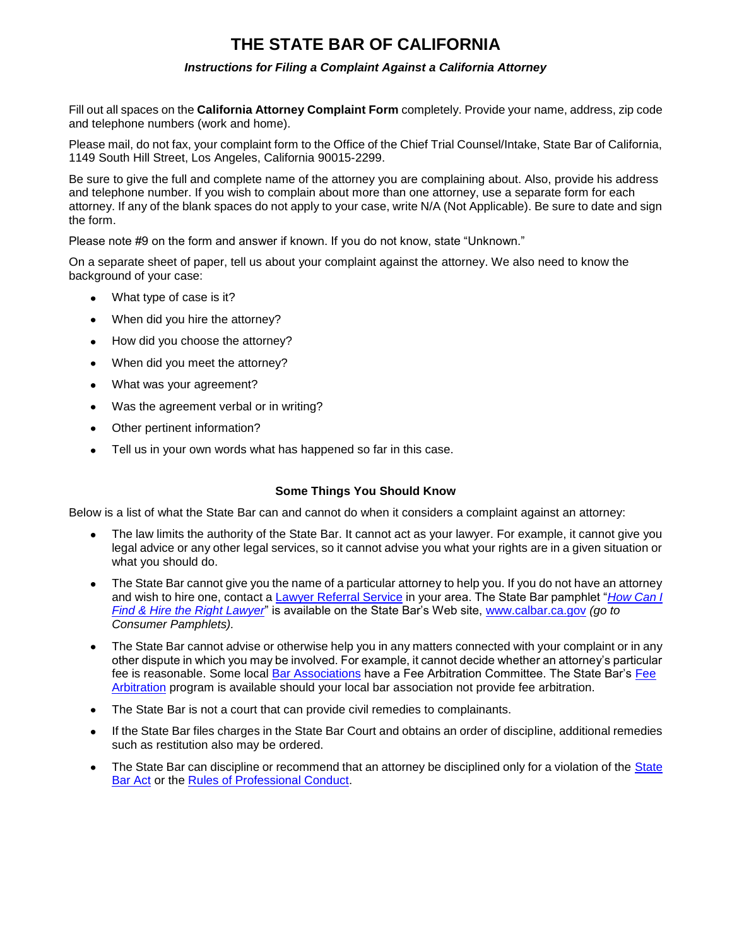### **THE STATE BAR OF CALIFORNIA**

#### *Instructions for Filing a Complaint Against a California Attorney*

Fill out all spaces on the **California Attorney Complaint Form** completely. Provide your name, address, zip code and telephone numbers (work and home).

Please mail, do not fax, your complaint form to the Office of the Chief Trial Counsel/Intake, State Bar of California, 1149 South Hill Street, Los Angeles, California 90015-2299.

Be sure to give the full and complete name of the attorney you are complaining about. Also, provide his address and telephone number. If you wish to complain about more than one attorney, use a separate form for each attorney. If any of the blank spaces do not apply to your case, write N/A (Not Applicable). Be sure to date and sign the form.

Please note #9 on the form and answer if known. If you do not know, state "Unknown."

On a separate sheet of paper, tell us about your complaint against the attorney. We also need to know the background of your case:

- What type of case is it?  $\bullet$
- When did you hire the attorney?  $\bullet$
- How did you choose the attorney?  $\bullet$
- $\bullet$ When did you meet the attorney?
- $\bullet$ What was your agreement?
- Was the agreement verbal or in writing?  $\bullet$
- Other pertinent information?  $\bullet$
- Tell us in your own words what has happened so far in this case.  $\bullet$

#### **Some Things You Should Know**

Below is a list of what the State Bar can and cannot do when it considers a complaint against an attorney:

- The law limits the authority of the State Bar. It cannot act as your lawyer. For example, it cannot give you  $\bullet$ legal advice or any other legal services, so it cannot advise you what your rights are in a given situation or what you should do.
- The State Bar cannot give you the name of a particular attorney to help you. If you do not have an attorney  $\bullet$ and wish to hire one, contact a [Lawyer Referral Service](http://calbar.ca.gov/state/calbar/calbar_generic.jsp?cid=10182&id=1403) in your area. The State Bar pamphlet "*[How Can I](http://calbar.ca.gov/state/calbar/calbar_generic.jsp?cid=10581&id=2165)  [Find & Hire the Right Lawyer](http://calbar.ca.gov/state/calbar/calbar_generic.jsp?cid=10581&id=2165)*" is available on the State Bar's Web site, [www.calbar.ca.gov](http://www.calbar.ca.gov/) *(go to Consumer Pamphlets).*
- The State Bar cannot advise or otherwise help you in any matters connected with your complaint or in any other dispute in which you may be involved. For example, it cannot decide whether an attorney's particular fee is reasonable. Some local [Bar Associations](http://calbar.ca.gov/state/calbar/calbar_extend.jsp?cid=10102&id=18861) have a [Fee](http://calbar.ca.gov/state/calbar/calbar_generic.jsp?cid=10428&id=1325) Arbitration Committee. The State Bar's Fee [Arbitration](http://calbar.ca.gov/state/calbar/calbar_generic.jsp?cid=10428&id=1325) program is available should your local bar association not provide fee arbitration.
- The State Bar is not a court that can provide civil remedies to complainants.
- If the State Bar files charges in the State Bar Court and obtains an order of discipline, additional remedies  $\bullet$ such as restitution also may be ordered.
- The [State](http://calbar.ca.gov/state/calbar/calbar_generic.jsp?cid=10159&id=1285) Bar can discipline or recommend that an attorney be disciplined only for a violation of the State [Bar Act](http://calbar.ca.gov/state/calbar/calbar_generic.jsp?cid=10159&id=1285) or the [Rules of Professional Conduct.](http://calbar.ca.gov/state/calbar/calbar_extend.jsp?cid=10158&id=1267)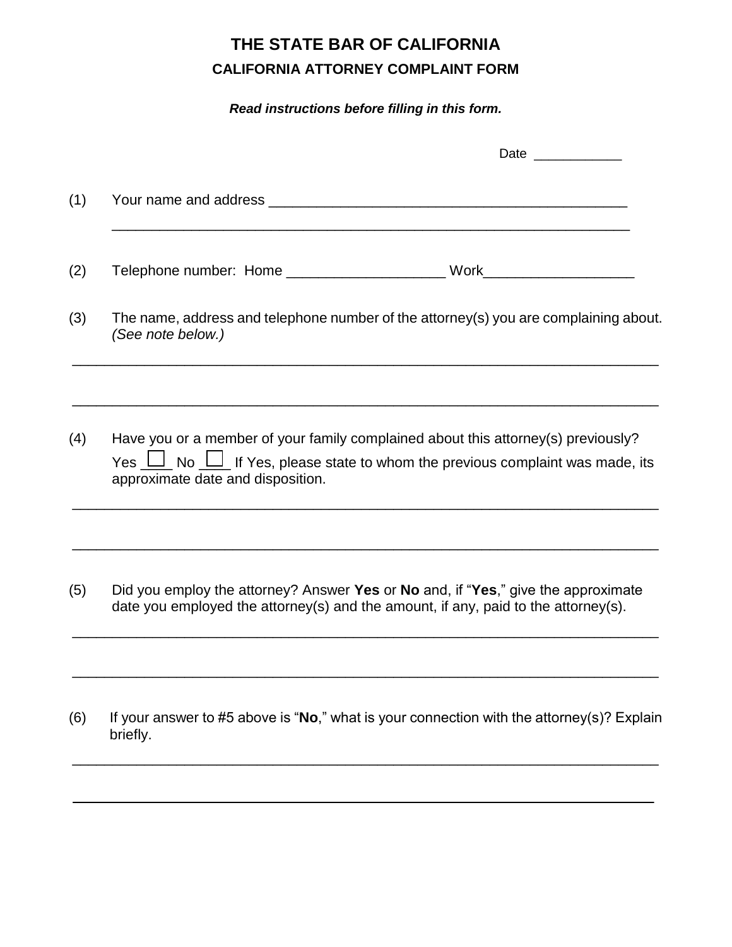# **THE STATE BAR OF CALIFORNIA CALIFORNIA ATTORNEY COMPLAINT FORM**

*Read instructions before filling in this form.*

| Date _____________                                                                                                                                                                                                                                           |
|--------------------------------------------------------------------------------------------------------------------------------------------------------------------------------------------------------------------------------------------------------------|
|                                                                                                                                                                                                                                                              |
|                                                                                                                                                                                                                                                              |
| The name, address and telephone number of the attorney(s) you are complaining about.<br>(See note below.)                                                                                                                                                    |
| Have you or a member of your family complained about this attorney(s) previously?<br>Yes $\boxed{\underline{\qquad}}$ No $\boxed{\underline{\qquad}}$ If Yes, please state to whom the previous complaint was made, its<br>approximate date and disposition. |
| Did you employ the attorney? Answer Yes or No and, if "Yes," give the approximate<br>date you employed the attorney(s) and the amount, if any, paid to the attorney(s).                                                                                      |
| If your answer to #5 above is "No," what is your connection with the attorney(s)? Explain<br>briefly.                                                                                                                                                        |
|                                                                                                                                                                                                                                                              |